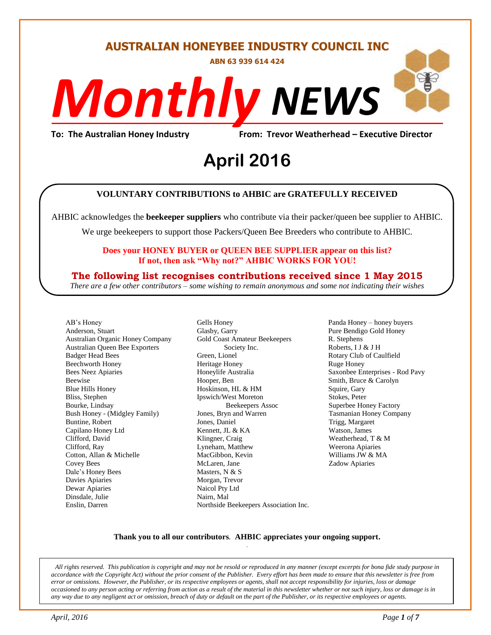#### **AUSTRALIAN HONEYBEE INDUSTRY COUNCIL INC**

**ABN 63 939 614 424**

# *NEWS Monthly*

**To: The Australian Honey Industry From: Trevor Weatherhead – Executive Director**

# From: Trevor weathe<br>**April 2016**

#### **VOLUNTARY CONTRIBUTIONS to AHBIC are GRATEFULLY RECEIVED**

AHBIC acknowledges the **beekeeper suppliers** who contribute via their packer/queen bee supplier to AHBIC.

We urge beekeepers to support those Packers/Queen Bee Breeders who contribute to AHBIC.

#### **Does your HONEY BUYER or QUEEN BEE SUPPLIER appear on this list? If not, then ask "Why not?" AHBIC WORKS FOR YOU!**

#### **The following list recognises contributions received since 1 May 2015**

*There are a few other contributors – some wishing to remain anonymous and some not indicating their wishes*

AB's Honey Anderson, Stuart Australian Organic Honey Company Australian Queen Bee Exporters Badger Head Bees Beechworth Honey Bees Neez Apiaries Beewise Blue Hills Honey Bliss, Stephen Bourke, Lindsay Bush Honey - (Midgley Family) Buntine, Robert Capilano Honey Ltd Clifford, David Clifford, Ray Cotton, Allan & Michelle Covey Bees Dale's Honey Bees Davies Apiaries Dewar Apiaries Dinsdale, Julie Enslin, Darren

Gells Honey Glasby, Garry Gold Coast Amateur Beekeepers Society Inc. Green, Lionel Heritage Honey Honeylife Australia Hooper, Ben Hoskinson, HL & HM Ipswich/West Moreton Beekeepers Assoc Jones, Bryn and Warren Jones, Daniel Kennett, JL & KA Klingner, Craig Lyneham, Matthew MacGibbon, Kevin McLaren, Jane Masters, N & S Morgan, Trevor Naicol Pty Ltd Nairn, Mal Northside Beekeepers Association Inc. Panda Honey – honey buyers Pure Bendigo Gold Honey R. Stephens Roberts, I J & J H Rotary Club of Caulfield Ruge Honey Saxonbee Enterprises - Rod Pavy Smith, Bruce & Carolyn Squire, Gary Stokes, Peter Superbee Honey Factory Tasmanian Honey Company Trigg, Margaret Watson, James Weatherhead, T & M Weerona Apiaries Williams JW & MA Zadow Apiaries

#### **Thank you to all our contributors***.* **AHBIC appreciates your ongoing support.** .

*All rights reserved. This publication is copyright and may not be resold or reproduced in any manner (except excerpts for bona fide study purpose in accordance with the Copyright Act) without the prior consent of the Publisher. Every effort has been made to ensure that this newsletter is free from error or omissions. However, the Publisher, or its respective employees or agents, shall not accept responsibility for injuries, loss or damage occasioned to any person acting or referring from action as a result of the material in this newsletter whether or not such injury, loss or damage is in any way due to any negligent act or omission, breach of duty or default on the part of the Publisher, or its respective employees or agents.*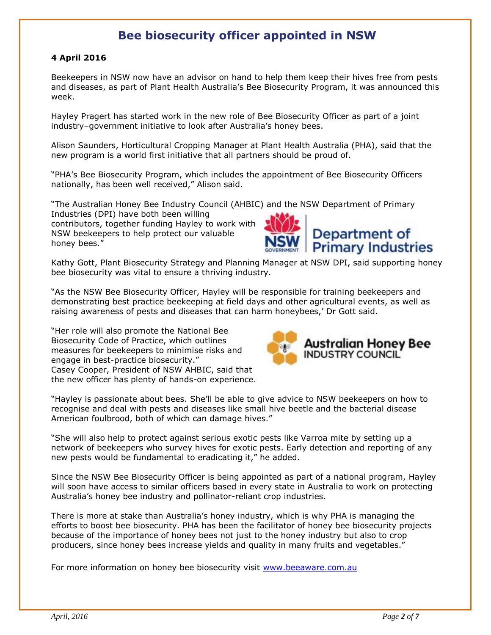#### **Bee biosecurity officer appointed in NSW**

#### **4 April 2016**

Beekeepers in NSW now have an advisor on hand to help them keep their hives free from pests and diseases, as part of Plant Health Australia's Bee Biosecurity Program, it was announced this week.

Hayley Pragert has started work in the new role of Bee Biosecurity Officer as part of a joint industry–government initiative to look after Australia's honey bees.

Alison Saunders, Horticultural Cropping Manager at Plant Health Australia (PHA), said that the new program is a world first initiative that all partners should be proud of.

"PHA's Bee Biosecurity Program, which includes the appointment of Bee Biosecurity Officers nationally, has been well received," Alison said.

"The Australian Honey Bee Industry Council (AHBIC) and the NSW Department of Primary

Industries (DPI) have both been willing contributors, together funding Hayley to work with NSW beekeepers to help protect our valuable honey bees."



Kathy Gott, Plant Biosecurity Strategy and Planning Manager at NSW DPI, said supporting honey bee biosecurity was vital to ensure a thriving industry.

"As the NSW Bee Biosecurity Officer, Hayley will be responsible for training beekeepers and demonstrating best practice beekeeping at field days and other agricultural events, as well as raising awareness of pests and diseases that can harm honeybees,' Dr Gott said.

"Her role will also promote the National Bee Biosecurity Code of Practice, which outlines measures for beekeepers to minimise risks and engage in best-practice biosecurity." Casey Cooper, President of NSW AHBIC, said that the new officer has plenty of hands-on experience.



"Hayley is passionate about bees. She'll be able to give advice to NSW beekeepers on how to recognise and deal with pests and diseases like small hive beetle and the bacterial disease American foulbrood, both of which can damage hives."

"She will also help to protect against serious exotic pests like Varroa mite by setting up a network of beekeepers who survey hives for exotic pests. Early detection and reporting of any new pests would be fundamental to eradicating it," he added.

Since the NSW Bee Biosecurity Officer is being appointed as part of a national program, Hayley will soon have access to similar officers based in every state in Australia to work on protecting Australia's honey bee industry and pollinator-reliant crop industries.

There is more at stake than Australia's honey industry, which is why PHA is managing the efforts to boost bee biosecurity. PHA has been the facilitator of honey bee biosecurity projects because of the importance of honey bees not just to the honey industry but also to crop producers, since honey bees increase yields and quality in many fruits and vegetables."

For more information on honey bee biosecurity visit [www.beeaware.com.au](http://www.beeaware.com.au/)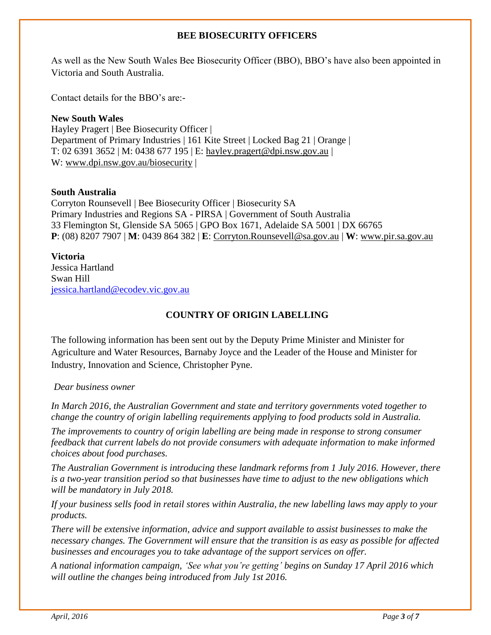#### **BEE BIOSECURITY OFFICERS**

As well as the New South Wales Bee Biosecurity Officer (BBO), BBO's have also been appointed in Victoria and South Australia.

Contact details for the BBO's are:-

**New South Wales** Hayley Pragert | Bee Biosecurity Officer | Department of Primary Industries | 161 Kite Street | Locked Bag 21 | Orange | T: 02 6391 3652 | M: 0438 677 195 | E: [hayley.pragert@dpi.nsw.gov.au](mailto:hayley.pragert@dpi.nsw.gov.au) | W: [www.dpi.nsw.gov.au/biosecurity](http://www.dpi.nsw.gov.au/biosecurity) |

#### **South Australia**

Corryton Rounsevell | Bee Biosecurity Officer | Biosecurity SA Primary Industries and Regions SA - PIRSA | Government of South Australia 33 Flemington St, Glenside SA 5065 | GPO Box 1671, Adelaide SA 5001 | DX 66765 **P**: (08) 8207 7907 | **M**: 0439 864 382 | **E**: [Corryton.Rounsevell@sa.gov.au](mailto:Corryton.Rounsevell@sa.gov.au) | **W**: [www.pir.sa.gov.au](http://www.pir.sa.gov.au/)

#### **Victoria**

Jessica Hartland Swan Hill [jessica.hartland@ecodev.vic.gov.au](mailto:jessica.hartland@ecodev.vic.gov.au)

#### **COUNTRY OF ORIGIN LABELLING**

The following information has been sent out by the Deputy Prime Minister and Minister for Agriculture and Water Resources, Barnaby Joyce and the Leader of the House and Minister for Industry, Innovation and Science, Christopher Pyne.

*Dear business owner*

*In March 2016, the Australian Government and state and territory governments voted together to change the country of origin labelling requirements applying to food products sold in Australia.* 

*The improvements to country of origin labelling are being made in response to strong consumer feedback that current labels do not provide consumers with adequate information to make informed choices about food purchases.* 

*The Australian Government is introducing these landmark reforms from 1 July 2016. However, there is a two-year transition period so that businesses have time to adjust to the new obligations which will be mandatory in July 2018.* 

*If your business sells food in retail stores within Australia, the new labelling laws may apply to your products.*

*There will be extensive information, advice and support available to assist businesses to make the necessary changes. The Government will ensure that the transition is as easy as possible for affected businesses and encourages you to take advantage of the support services on offer.* 

*A national information campaign, 'See what you're getting' begins on Sunday 17 April 2016 which will outline the changes being introduced from July 1st 2016.*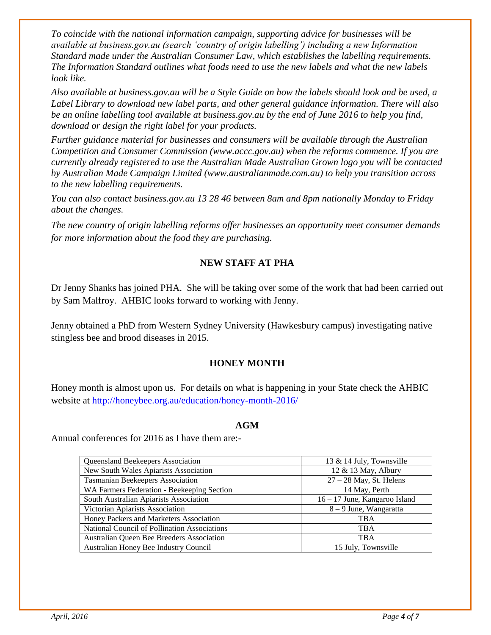*To coincide with the national information campaign, supporting advice for businesses will be available at business.gov.au (search 'country of origin labelling') including a new Information Standard made under the Australian Consumer Law, which establishes the labelling requirements. The Information Standard outlines what foods need to use the new labels and what the new labels look like.*

*Also available at business.gov.au will be a Style Guide on how the labels should look and be used, a Label Library to download new label parts, and other general guidance information. There will also be an online labelling tool available at business.gov.au by the end of June 2016 to help you find, download or design the right label for your products.* 

*Further guidance material for businesses and consumers will be available through the Australian Competition and Consumer Commission (www.accc.gov.au) when the reforms commence. If you are currently already registered to use the Australian Made Australian Grown logo you will be contacted by Australian Made Campaign Limited (www.australianmade.com.au) to help you transition across to the new labelling requirements.*

*You can also contact business.gov.au 13 28 46 between 8am and 8pm nationally Monday to Friday about the changes.* 

*The new country of origin labelling reforms offer businesses an opportunity meet consumer demands for more information about the food they are purchasing.*

#### **NEW STAFF AT PHA**

Dr Jenny Shanks has joined PHA. She will be taking over some of the work that had been carried out by Sam Malfroy. AHBIC looks forward to working with Jenny.

Jenny obtained a PhD from Western Sydney University (Hawkesbury campus) investigating native stingless bee and brood diseases in 2015.

#### **HONEY MONTH**

Honey month is almost upon us. For details on what is happening in your State check the AHBIC website at<http://honeybee.org.au/education/honey-month-2016/>

#### **AGM**

Annual conferences for 2016 as I have them are:-

| Queensland Beekeepers Association            | 13 & 14 July, Townsville      |
|----------------------------------------------|-------------------------------|
| New South Wales Apiarists Association        | 12 & 13 May, Albury           |
| <b>Tasmanian Beekeepers Association</b>      | $27 - 28$ May, St. Helens     |
| WA Farmers Federation - Beekeeping Section   | 14 May, Perth                 |
| South Australian Apiarists Association       | 16 – 17 June, Kangaroo Island |
| Victorian Apiarists Association              | $8 - 9$ June, Wangaratta      |
| Honey Packers and Marketers Association      | <b>TBA</b>                    |
| National Council of Pollination Associations | <b>TBA</b>                    |
| Australian Queen Bee Breeders Association    | <b>TBA</b>                    |
| Australian Honey Bee Industry Council        | 15 July, Townsville           |
|                                              |                               |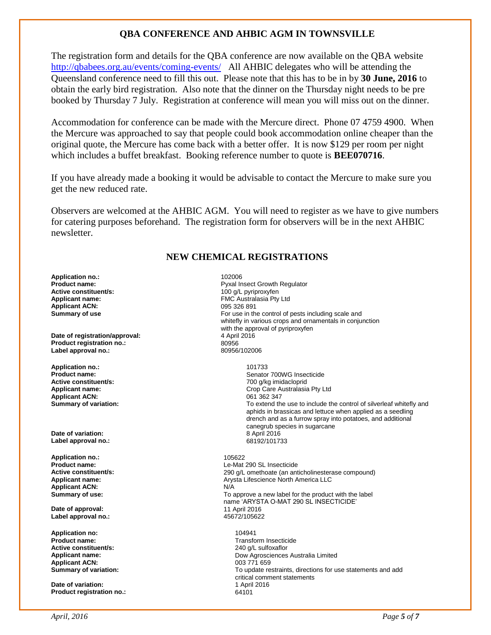#### **QBA CONFERENCE AND AHBIC AGM IN TOWNSVILLE**

The registration form and details for the QBA conference are now available on the QBA website <http://qbabees.org.au/events/coming-events/> All AHBIC delegates who will be attending the Queensland conference need to fill this out. Please note that this has to be in by **30 June, 2016** to obtain the early bird registration. Also note that the dinner on the Thursday night needs to be pre booked by Thursday 7 July. Registration at conference will mean you will miss out on the dinner.

Accommodation for conference can be made with the Mercure direct. Phone 07 4759 4900. When the Mercure was approached to say that people could book accommodation online cheaper than the original quote, the Mercure has come back with a better offer. It is now \$129 per room per night which includes a buffet breakfast. Booking reference number to quote is **BEE070716**.

If you have already made a booking it would be advisable to contact the Mercure to make sure you get the new reduced rate.

Observers are welcomed at the AHBIC AGM. You will need to register as we have to give numbers for catering purposes beforehand. The registration form for observers will be in the next AHBIC newsletter.

#### **NEW CHEMICAL REGISTRATIONS**

**Application no.:** 202006<br>**Product name:** 202006 **Product name: Active constituent/s:**  $\begin{array}{ccc} 100 \text{ g/L pyriproxyfen} \\ \text{Application name: & & \text{FMC Australia} \\ \end{array}$ **Applicant ACN:**<br>Summary of use

**Date of registration/approval:** 4 April 2016 Product registration no.:<br>
Label approval no.:<br> **Label approval no.:**<br> **80956/102006** Label approval no.:

**Application no.:** 101733 **Active constituent/s:** <br> **Applicant name:** <br> **Applicant name:** <br> **Peplicant name:** <br> **Peplicant name:** <br> **Peplicant name:** <br> **Peplicant name:** <br> **Peplicant name:** <br> **Peplicant name:** <br> **Peplicant name:** <br> **Peplicant name: Applicant ACN:** 061 362 347<br> **Summary of variation:** 061 362 347

**Date of variation:** 8 April 2016 Label approval no.:

**Application no.:** 105622 **Applicant ACN:** N/A

**Date of approval:** 11 April 2016 Label approval no.:

**Application no:** 104941 **Active constituent/s:** 240 g/L sulfoxaflor **Applicant ACN:**<br>Summary of variation:

**Date of variation: Product registration no.:** 64101

**Product name: Product name: Pyxal Insect Growth Regulator Active constituent/s: Pyxal Insect Growth Regulator Active constituent/s: Pyxal Insect Crowth Regulator** FMC Australasia Pty Ltd<br>095 326 891 For use in the control of pests including scale and whitefly in various crops and ornamentals in conjunction with the approval of pyriproxyfen<br>4 April 2016

**Product name:** Senator 700WG Insecticide **Applicant name:** Crop Care Australasia Pty Ltd To extend the use to include the control of silverleaf whitefly and aphids in brassicas and lettuce when applied as a seedling drench and as a furrow spray into potatoes, and additional canegrub species in sugarcane<br>8 April 2016

**Product name:**<br> **Active constituent/s:**<br> **Active constituent/s:**<br> **Active constituent/s:**<br> **Active constituent/s: Active constituent/s:** <br>**Applicant name:** <br>**Applicant name:** <br>*Arysta Lifescience North America LLC* Arysta Lifescience North America LLC **Summary of use: To approve a new label for the product with the label Summary of use:** To approve a new label for the product with the label name 'ARYSTA O-MAT 290 SL INSECTICIDE'<br>11 April 2016

**Transform Insecticide Applicant name:** Dow Agrosciences Australia Limited **Summary of variation:** To update restraints, directions for use statements and add critical comment statements<br>1 April 2016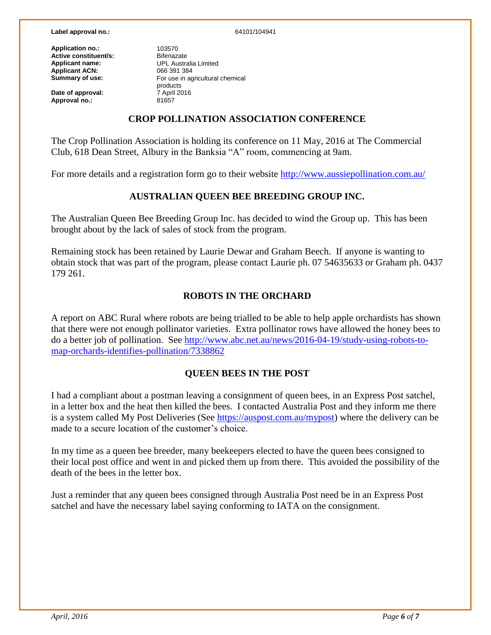#### **Label approval no.:** 64101/104941

**Application no.:** 103570<br> **Active constituent/s:** Bifenazate **Active constituent/s:**<br>Applicant name: **Applicant ACN:**<br>Summary of use:

**Date of approval:**  $\frac{7 \text{ April}}{81657}$ **Approval no.:** 

**UPL Australia Limited**<br>066 391 384 **Summary of use:** For use in agricultural chemical products<br>7 April 2016

#### **CROP POLLINATION ASSOCIATION CONFERENCE**

The Crop Pollination Association is holding its conference on 11 May, 2016 at The Commercial Club, 618 Dean Street, Albury in the Banksia "A" room, commencing at 9am.

For more details and a registration form go to their website<http://www.aussiepollination.com.au/>

#### **AUSTRALIAN QUEEN BEE BREEDING GROUP INC.**

The Australian Queen Bee Breeding Group Inc. has decided to wind the Group up. This has been brought about by the lack of sales of stock from the program.

Remaining stock has been retained by Laurie Dewar and Graham Beech. If anyone is wanting to obtain stock that was part of the program, please contact Laurie ph. 07 54635633 or Graham ph. 0437 179 261.

#### **ROBOTS IN THE ORCHARD**

A report on ABC Rural where robots are being trialled to be able to help apple orchardists has shown that there were not enough pollinator varieties. Extra pollinator rows have allowed the honey bees to do a better job of pollination. See [http://www.abc.net.au/news/2016-04-19/study-using-robots-to](http://www.abc.net.au/news/2016-04-19/study-using-robots-to-map-orchards-identifies-pollination/7338862)[map-orchards-identifies-pollination/7338862](http://www.abc.net.au/news/2016-04-19/study-using-robots-to-map-orchards-identifies-pollination/7338862)

#### **QUEEN BEES IN THE POST**

I had a compliant about a postman leaving a consignment of queen bees, in an Express Post satchel, in a letter box and the heat then killed the bees. I contacted Australia Post and they inform me there is a system called My Post Deliveries (See [https://auspost.com.au/mypost\)](https://auspost.com.au/mypost) where the delivery can be made to a secure location of the customer's choice.

In my time as a queen bee breeder, many beekeepers elected to have the queen bees consigned to their local post office and went in and picked them up from there. This avoided the possibility of the death of the bees in the letter box.

Just a reminder that any queen bees consigned through Australia Post need be in an Express Post satchel and have the necessary label saying conforming to IATA on the consignment.